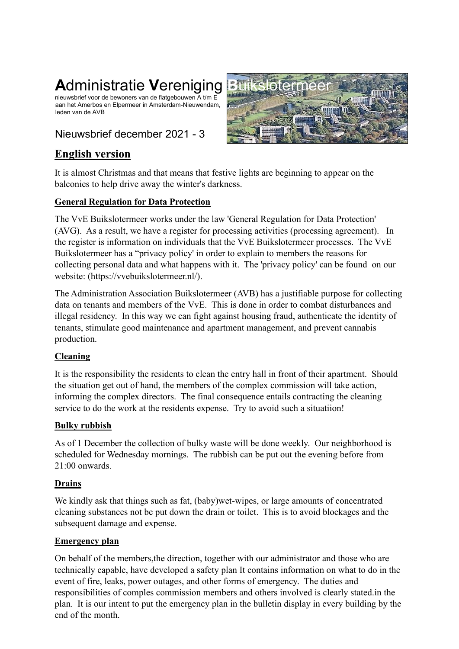# **Administratie Vereniging**

nieuwsbrief voor de bewoners van de flatgebouwen A t/m E aan het Amerbos en Elpermeer in Amsterdam-Nieuwendam, leden van de AVB

# Nieuwsbrief december 2021 - 3



## **English version**

It is almost Christmas and that means that festive lights are beginning to appear on the balconies to help drive away the winter's darkness.

## **General Regulation for Data Protection**

The VvE Buikslotermeer works under the law 'General Regulation for Data Protection' (AVG). As a result, we have a register for processing activities (processing agreement). In the register is information on individuals that the VvE Buikslotermeer processes. The VvE Buikslotermeer has a "privacy policy' in order to explain to members the reasons for collecting personal data and what happens with it. The 'privacy policy' can be found on our website: [\(https://vvebuikslotermeer.nl/\)](https://vvebuikslotermeer.nl/).

The Administration Association Buikslotermeer (AVB) has a justifiable purpose for collecting data on tenants and members of the VvE. This is done in order to combat disturbances and illegal residency. In this way we can fight against housing fraud, authenticate the identity of tenants, stimulate good maintenance and apartment management, and prevent cannabis production.

## **Cleaning**

It is the responsibility the residents to clean the entry hall in front of their apartment. Should the situation get out of hand, the members of the complex commission will take action, informing the complex directors. The final consequence entails contracting the cleaning service to do the work at the residents expense. Try to avoid such a situatiion!

## **Bulky rubbish**

As of 1 December the collection of bulky waste will be done weekly. Our neighborhood is scheduled for Wednesday mornings. The rubbish can be put out the evening before from 21:00 onwards.

## **Drains**

We kindly ask that things such as fat, (baby)wet-wipes, or large amounts of concentrated cleaning substances not be put down the drain or toilet. This is to avoid blockages and the subsequent damage and expense.

## **Emergency plan**

On behalf of the members,the direction, together with our administrator and those who are technically capable, have developed a safety plan It contains information on what to do in the event of fire, leaks, power outages, and other forms of emergency. The duties and responsibilities of comples commission members and others involved is clearly stated.in the plan. It is our intent to put the emergency plan in the bulletin display in every building by the end of the month.